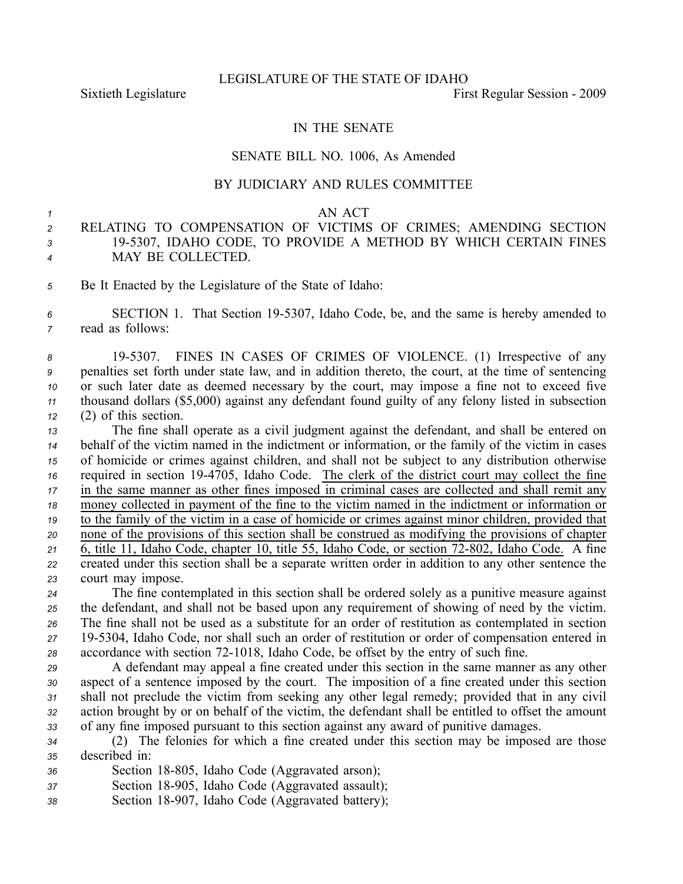Sixtieth Legislature **First** Regular Session - 2009

## IN THE SENATE

#### SENATE BILL NO. 1006, As Amended

## BY JUDICIARY AND RULES COMMITTEE

#### *1* AN ACT

# *<sup>2</sup>* RELATING TO COMPENSATION OF VICTIMS OF CRIMES; AMENDING SECTION *<sup>3</sup>* 195307, IDAHO CODE, TO PROVIDE A METHOD BY WHICH CERTAIN FINES *<sup>4</sup>* MAY BE COLLECTED.

*<sup>5</sup>* Be It Enacted by the Legislature of the State of Idaho:

*<sup>6</sup>* SECTION 1. That Section 195307, Idaho Code, be, and the same is hereby amended to *<sup>7</sup>* read as follows:

 195307. FINES IN CASES OF CRIMES OF VIOLENCE. (1) Irrespective of any penalties set forth under state law, and in addition thereto, the court, at the time of sentencing or such later date as deemed necessary by the court, may impose <sup>a</sup> fine not to exceed five thousand dollars (\$5,000) against any defendant found guilty of any felony listed in subsection (2) of this section.

 The fine shall operate as <sup>a</sup> civil judgment against the defendant, and shall be entered on behalf of the victim named in the indictment or information, or the family of the victim in cases of homicide or crimes against children, and shall not be subject to any distribution otherwise required in section 194705, Idaho Code. The clerk of the district court may collect the fine in the same manner as other fines imposed in criminal cases are collected and shall remit any money collected in paymen<sup>t</sup> of the fine to the victim named in the indictment or information or to the family of the victim in <sup>a</sup> case of homicide or crimes against minor children, provided that none of the provisions of this section shall be construed as modifying the provisions of chapter 21 6, title 11, Idaho Code, chapter 10, title 55, Idaho Code, or section 72-802, Idaho Code. A fine created under this section shall be <sup>a</sup> separate written order in addition to any other sentence the court may impose.

 The fine contemplated in this section shall be ordered solely as <sup>a</sup> punitive measure against the defendant, and shall not be based upon any requirement of showing of need by the victim. The fine shall not be used as <sup>a</sup> substitute for an order of restitution as contemplated in section 195304, Idaho Code, nor shall such an order of restitution or order of compensation entered in accordance with section 721018, Idaho Code, be offset by the entry of such fine.

 A defendant may appeal <sup>a</sup> fine created under this section in the same manner as any other aspec<sup>t</sup> of <sup>a</sup> sentence imposed by the court. The imposition of <sup>a</sup> fine created under this section shall not preclude the victim from seeking any other legal remedy; provided that in any civil action brought by or on behalf of the victim, the defendant shall be entitled to offset the amount of any fine imposed pursuan<sup>t</sup> to this section against any award of punitive damages.

*<sup>34</sup>* (2) The felonies for which <sup>a</sup> fine created under this section may be imposed are those *<sup>35</sup>* described in:

- 36 **Section 18-805**, Idaho Code (Aggravated arson);
- *<sup>37</sup>* Section 18905, Idaho Code (Aggravated assault);
- *<sup>38</sup>* Section 18907, Idaho Code (Aggravated battery);